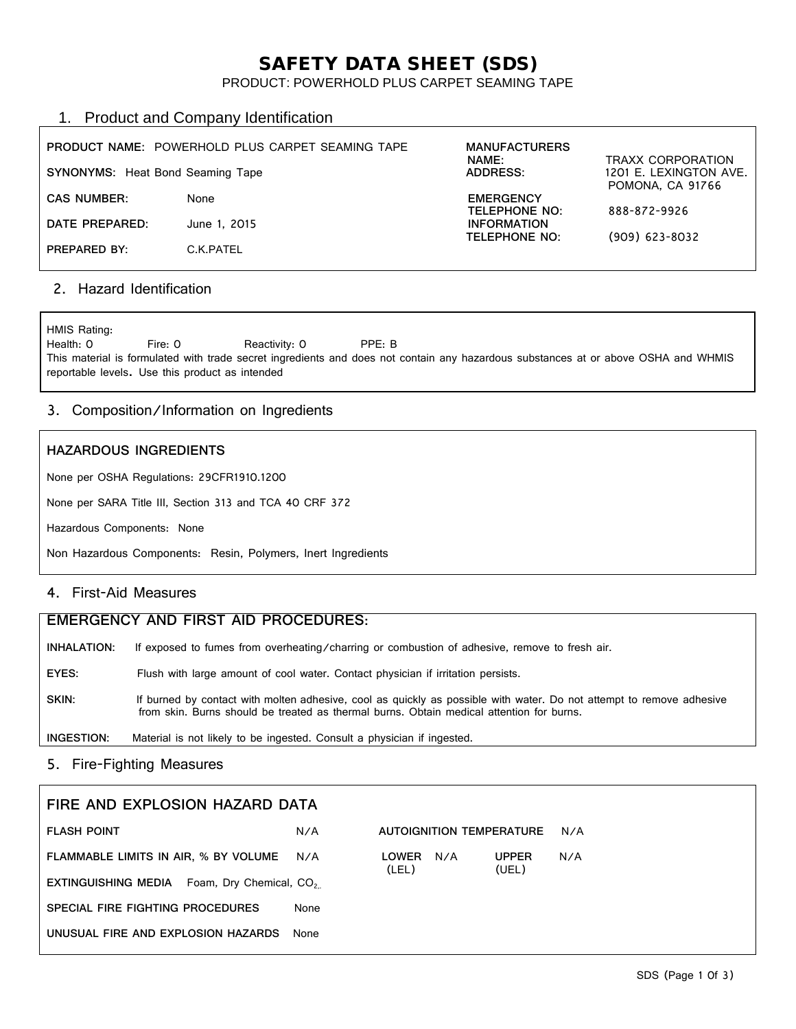# SAFETY DATA SHEET (SDS)

### PRODUCT: POWERHOLD PLUS CARPET SEAMING TAPE

# 1. Product and Company Identification

| <b>SYNONYMS:</b> Heat Bond Seaming Tape | <b>PRODUCT NAME: POWERHOLD PLUS CARPET SEAMING TAPE</b> | <b>MANUFACTURERS</b><br><b>NAME:</b><br>ADDRESS: | <b>TRAXX CORPORATION</b><br>1201 E. LEXINGTON AVE.<br>POMONA, CA 91766 |
|-----------------------------------------|---------------------------------------------------------|--------------------------------------------------|------------------------------------------------------------------------|
| <b>CAS NUMBER:</b>                      | None                                                    | <b>EMERGENCY</b><br>TELEPHONE NO:                | 888-872-9926                                                           |
| DATE PREPARED:                          | June 1, 2015                                            | <b>INFORMATION</b><br><b>TELEPHONE NO:</b>       | $(909)$ 623-8032                                                       |
| PREPARED BY:                            | C.K.PATEL                                               |                                                  |                                                                        |

# 2. Hazard Identification

HMIS Rating:<br>Health: 0 Fire: 0 Reactivity: 0 PPE: B This material is formulated with trade secret ingredients and does not contain any hazardous substances at or above OSHA and WHMIS reportable levels. Use this product as intended

# 3. Composition/Information on Ingredients

### **HAZARDOUS INGREDIENTS**

None per OSHA Regulations: 29CFR1910.1200

None per SARA Title III, Section 313 and TCA 40 CRF 372

Hazardous Components: None

Non Hazardous Components: Resin, Polymers, Inert Ingredients

# 4. First-Aid Measures

| EMERGENCY AND FIRST AID PROCEDURES: |                                                                                                                                                                                                                  |  |  |
|-------------------------------------|------------------------------------------------------------------------------------------------------------------------------------------------------------------------------------------------------------------|--|--|
| INHALATION:                         | If exposed to fumes from overheating/charring or combustion of adhesive, remove to fresh air.                                                                                                                    |  |  |
| EYES:                               | Flush with large amount of cool water. Contact physician if irritation persists.                                                                                                                                 |  |  |
| SKIN:                               | If burned by contact with molten adhesive, cool as quickly as possible with water. Do not attempt to remove adhesive<br>from skin. Burns should be treated as thermal burns. Obtain medical attention for burns. |  |  |
| INGESTION:                          | Material is not likely to be ingested. Consult a physician if ingested.                                                                                                                                          |  |  |

# 5. Fire-Fighting Measures

| FIRE AND EXPLOSION HAZARD DATA                                 |      |                              |                       |     |
|----------------------------------------------------------------|------|------------------------------|-----------------------|-----|
| <b>FLASH POINT</b>                                             | N/A  | AUTOIGNITION TEMPERATURE     |                       | N/A |
| FLAMMABLE LIMITS IN AIR, % BY VOLUME                           | N/A  | N/A<br><b>LOWER</b><br>(LEL) | <b>UPPER</b><br>(UEL) | N/A |
| <b>EXTINGUISHING MEDIA</b> Foam, Dry Chemical, CO <sub>2</sub> |      |                              |                       |     |
| SPECIAL FIRE FIGHTING PROCEDURES                               | None |                              |                       |     |
| UNUSUAL FIRE AND EXPLOSION HAZARDS                             | None |                              |                       |     |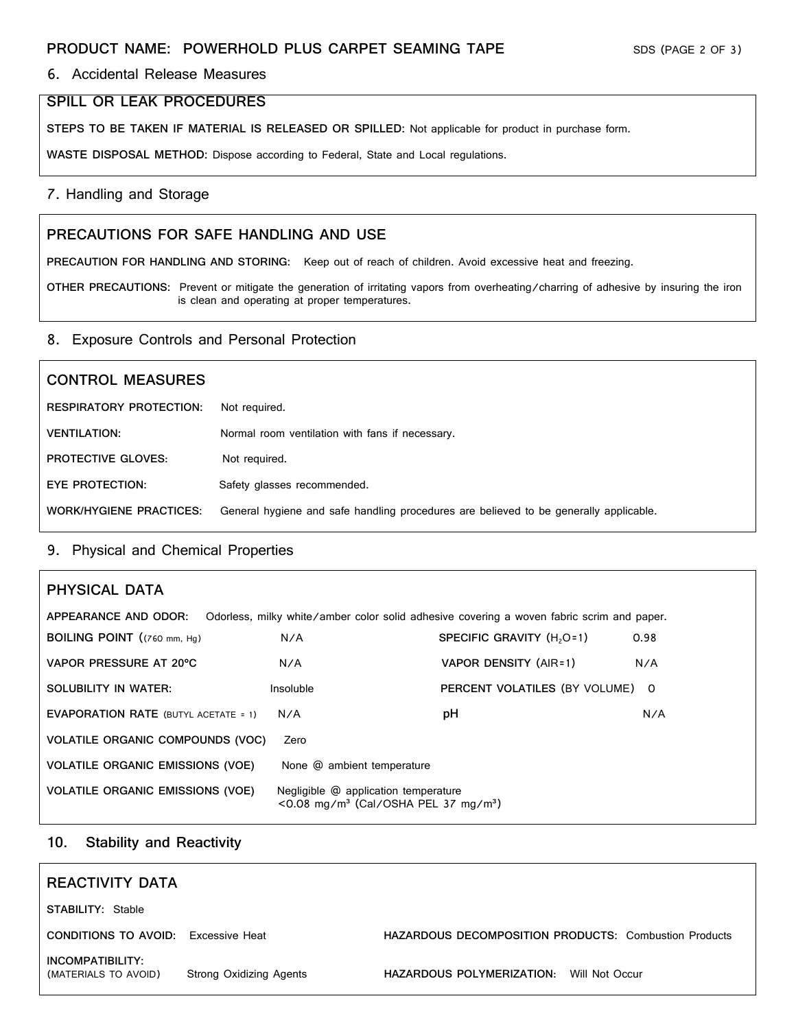# 6. Accidental Release Measures

# **SPILL OR LEAK PROCEDURES**

**STEPS TO BE TAKEN IF MATERIAL IS RELEASED OR SPILLED:** Not applicable for product in purchase form.

**WASTE DISPOSAL METHOD:** Dispose according to Federal, State and Local regulations.

### 7. Handling and Storage

# **PRECAUTIONS FOR SAFE HANDLING AND USE**

**PRECAUTION FOR HANDLING AND STORING:** Keep out of reach of children. Avoid excessive heat and freezing.

**OTHER PRECAUTIONS:** Prevent or mitigate the generation of irritating vapors from overheating/charring of adhesive by insuring the iron is clean and operating at proper temperatures.

### 8. Exposure Controls and Personal Protection

# **CONTROL MEASURES RESPIRATORY PROTECTION:** Not required. **VENTILATION:** Normal room ventilation with fans if necessary. **PROTECTIVE GLOVES:** Not required. **EYE PROTECTION:** Safety glasses recommended. **WORK/HYGIENE PRACTICES:** General hygiene and safe handling procedures are believed to be generally applicable.

# 9. Physical and Chemical Properties

| PHYSICAL DATA                                                                                                     |                                                                                                            |                                       |      |  |  |  |
|-------------------------------------------------------------------------------------------------------------------|------------------------------------------------------------------------------------------------------------|---------------------------------------|------|--|--|--|
| APPEARANCE AND ODOR:<br>Odorless, milky white/amber color solid adhesive covering a woven fabric scrim and paper. |                                                                                                            |                                       |      |  |  |  |
| <b>BOILING POINT</b> $((760 \text{ mm}, \text{ Hq}))$                                                             | N/A                                                                                                        | SPECIFIC GRAVITY (H <sub>2</sub> O=1) | 0.98 |  |  |  |
| VAPOR PRESSURE AT 20°C                                                                                            | N/A                                                                                                        | VAPOR DENSITY (AIR=1)                 | N/A  |  |  |  |
| SOLUBILITY IN WATER:                                                                                              | Insoluble                                                                                                  | PERCENT VOLATILES (BY VOLUME)         | - 0  |  |  |  |
| <b>EVAPORATION RATE (BUTYL ACETATE = 1)</b>                                                                       | N/A                                                                                                        | рH                                    | N/A  |  |  |  |
| <b>VOLATILE ORGANIC COMPOUNDS (VOC)</b>                                                                           | Zero                                                                                                       |                                       |      |  |  |  |
| <b>VOLATILE ORGANIC EMISSIONS (VOE)</b>                                                                           | None @ ambient temperature                                                                                 |                                       |      |  |  |  |
| <b>VOLATILE ORGANIC EMISSIONS (VOE)</b>                                                                           | Negligible @ application temperature<br>$\leq$ 0.08 mg/m <sup>3</sup> (Cal/OSHA PEL 37 mg/m <sup>3</sup> ) |                                       |      |  |  |  |

# **10. Stability and Reactivity**

| REACTIVITY DATA                            |                         |                                                              |  |
|--------------------------------------------|-------------------------|--------------------------------------------------------------|--|
| <b>STABILITY: Stable</b>                   |                         |                                                              |  |
| <b>CONDITIONS TO AVOID:</b> Excessive Heat |                         | <b>HAZARDOUS DECOMPOSITION PRODUCTS: Combustion Products</b> |  |
| INCOMPATIBILITY:<br>(MATERIALS TO AVOID)   | Strong Oxidizing Agents | HAZARDOUS POLYMERIZATION:<br>Will Not Occur                  |  |